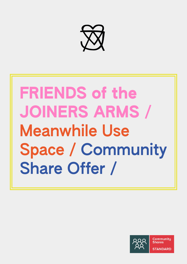

# FRIENDS of the JOINERS ARMS / Meanwhile Use Space / Community Share Offer /

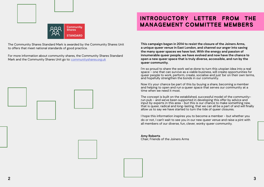**This campaign began in 2014 to resist the closure of the Joiners Arms, a unique queer venue in East London, and channel our anger into saving the many queer spaces we have lost. With the energy and passion of innumerable queer people, we have evolved and now have the chance to open a new queer space that is truly diverse, accessible, and run by the queer community.** 

I'm so proud to share the work we've done to turn this utopian idea into a real space - one that can survive as a viable business, will create opportunities for queer people to work, perform, create, socialise and just 'be' on their own terms, and hopefully strengthen the bonds in our community.

Now it's your chance be part of this by buying a share, becoming a member and helping to open and run a queer space that serves our community at a time when we need it most.

The concept is built on the established, successful model of the communityrun pub - and we've been supported in developing this offer by advice and input by experts in this area - but this is our chance to make something new, that is queer, radical and long-lasting, that we can all be a part of and will finally allow us to say we have started to turn the tide of queer closures.

I hope this information inspires you to become a member - but whether you do or not, I can't wait to see you in our new queer venue and raise a pint with all members of our diverse, fun, clever, wonky queer community.

**Amy Roberts** Chair, Friends of the Joiners Arms





The Community Shares Standard Mark is awarded by the Community Shares Unit to offers that meet national standards of good practice.

For more information about community shares, the Community Shares Standard Mark and the Community Shares Unit go to: [communityshares.org.uk](http://communityshares.org.uk )





# INTRODUCTORY LETTER FROM THE MANAGEMENT COMMITTEE MEMBERS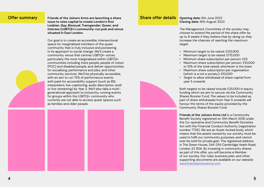**Offer summary** Friends of the Joiners Arms are launching a share **issue to raise capital to create London's first Lesbian, Gay, Bisexual, Transgender, Queer, and Intersex (LGBTQI+) community-run pub and venue situated in East London.** 

> Our goal is to create an accessible, intersectional space for marginalised members of the queer community that is truly inclusive and pioneering in its approach to social change. We'll create a community venue that centres LGBTQI+ voices, particularly the most marginalised within LGBTQI+ communities including trans people, people of colour (POC) and disabled people, and deliver opportunities for socialising, performance and jobs, and other community services. We'll be physically accessible, with an aim to run 75% of performance events with paid-for accessibility support (such as BSL interpreters, live-captioning, audio description, and/ or live-streaming) by Year 3. We'll also take a multigenerational approach to inclusivity, running events for groups within the LGBTQI+ community who currently are not able to access queer spaces such as families and older people.



#### **Share offer details** Opening date: 6th June 2022

**Closing date:** 16th August 2022

*The Management Committee of the society may choose to extend the period of the share offer by up to 8 weeks if they believe that by doing so they increase the chances of reaching the maximum target.* 

• Minimum target to be raised: £125,000 • Maximum target to be raised: £175,000 • Minimum share subscription per person: £25 • Maximum share subscription per person: £10,000 or 10% of the total raised, whichever is the lower • Maximum share subscription per organisation (which is a not a society): £10,000 • Target to allow withdrawal of share capital from

- 
- 
- 
- 
- 
- year 5 onwards

Both targets to be raised include £25,000 in equity funding which we aim to secure via the Community Shares Booster Fund. The values to be included as part of share withdrawals from Year 5 onwards will honour the terms of the equity provided by the Community Shares Booster Fund.

**Friends of the Joiners Arms Ltd** is a Community Benefit Society registered on 13th March 2018 under the Co-operative and Community Benefit Societies Act with the Financial Conduct Authority (registration number 7735). We are an Asset-locked body, which means that the assets owned by our society must be used to fulfil our community purposes, and cannot ever be sold for private gain. The registered address is The Green House, 244-254 Cambridge Heath Road, London, E2 9DA. By investing in community shares as part of this offer, you will become a Member of our society. Our rules, business plan, and other supporting documents are available on our website: [www.friendsjoinersarms.com](http://www.friendsjoinersarms.com)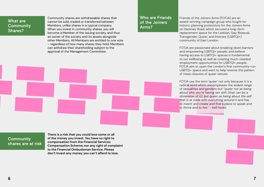## What are **Community** Shares?

Community shares are withdrawable shares that cannot be sold, traded or transferred between Members, unlike shares in a typical company. When you invest in community shares, you will become a Member of the issuing society, and thus an owner of the society and its assets alongside other Members. All Members are entitled to one vote – regardless of how many shares they hold. Members can withdraw their shareholding subject to the approval of the Management Committee.

**Community** shares are at risk **There is a risk that you could lose some or all of the money you invest. You have no right to compensation from the Financial Services Compensation Scheme, nor any right of complaint to the Financial Ombudsman Service. Please don't invest any money you can't afford to lose.**





Friends of the Joiners Arms (FOTJA) are an award-winning campaign group who fought for historic planning protections for the Joiners Arms on Hackney Road, which secured a long-term replacement space for the Lesbian, Gay, Bisexual, Transgender, Queer, and Intersex (LGBTQI+) community of East London.

FOTJA are passionate about breaking down barriers and empowering LGBTQI+ people, and believe having access to LGBTQI+ spaces is fundamental to our wellbeing as well as creating much-needed employment opportunities for LGBTQI+ people. FOTJA aim to open the London's first community-run LGBTQI+ space and want to help reverse the pattern of mass closures of queer venues.

FOTJA use the term 'queer' not only because it is a radical word which encompasses the widest range of sexualities and genders but "*queer not as being about who you're having sex with (that can be a dimension of it); but queer as being about the self that is at odds with everything around it and has to invent and create and find a place to speak and to thrive and to live*." - bell hooks

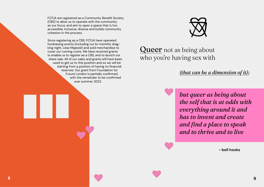FOTJA are registered as a Community Benefit Society (CBS) to allow us to operate with the community as our focus, and aim to open a space that is fun, accessible, inclusive, diverse and builds community cohesion in the process.

# Queer not as being about who you're having sex with

Since registering as a CBS, FOTJA have operated fundraising events (including our bi-monthly dragking night, Lèse Majesté) and sold merchandise to cover our running costs. We have received grants to enable us to register as a CBS, and to launch our share sale. All of our sales and grants will have been used to get us to this position and so we will be starting from a position of having no financial reserves. Our grant from Foundation for Future London is partially confirmed, with the remainder to be confirmed over summer 2022.



# *but queer as being about the self that is at odds with everything around it and has to invent and create and find a place to speak and to thrive and to live*

**- bell hooks**

## *(that can be a dimension of it);*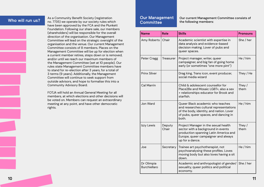**Who will run us?** <br>As a Community Benefit Society (registration and **Who will run us?**  $\begin{bmatrix} 1 & 0 & 0 \\ 0 & 0 & 0 \\ 0 & 0 & 0 \end{bmatrix}$  we operate by our society rules which have been approved by the FCA and the Plunkett Foundation. Following our share sale, our members (shareholders) will be responsible for the overall direction of the organisation. Our Management Committee will lead on the strategic oversight of the organisation and the venue. Our current Management Committee consists of 8 members. Places on the Management Committee will be up for election when a current member retires, steps down or is removed, and/or until we reach our maximum members of the Management Committee (set at 10 people). Our rules state Management Committee members have to stand for re-election after 3 years, for a total of 3 terms (9 years). Additionally, the Management Committee will continue to seek support from outside advisors, and hope to formalise this into a Community Advisory Board.

#### Our Management **Committee**

FOTJA will hold an Annual General Meeting for all members, at which elections and other decisions will be voted on. Members can request an extraordinary meeting at any point, and have other democratic rights.

# Our current Management Committee consists of

the following members:

| <b>Name</b>                       | <b>Role</b>      | <b>Skills</b>                                                                                                                                                                 | <b>Pronouns</b> |
|-----------------------------------|------------------|-------------------------------------------------------------------------------------------------------------------------------------------------------------------------------|-----------------|
| Amy Roberts                       | Chair            | Academic scientist with expertise in<br>data analysis and evidence-based<br>decision making. Lover of pubs and<br>queer spaces.                                               | She / her       |
| Peter Cragg                       | <b>Treasurer</b> | Project manager, writer, queer<br>campaigner, and big fan of going home<br>early (or sometimes "one more pint")                                                               | He/him          |
| <b>Prinx Silver</b>               |                  | Drag king, Trans icon, event producer,<br>social media wizard                                                                                                                 | They / He       |
| <b>Cal Marrin</b>                 |                  | Child & adolescent counsellor for<br>Place2Be and Mosaic LGBT+, also a sex<br>+ relationships educator for Brook and<br>starfish.                                             | They /<br>them  |
| Jon Ward                          |                  | Queer Black academic who teaches<br>and researches cultural representations<br>of the body, identity, and nation. Lover<br>of pubs, queer spaces, and dancing in<br>both.     | He/him          |
| Izzy Lewis                        | Deputy<br>Chair  | Project Manager in the sexual health<br>sector with a background in events<br>production spanning Latin America and<br>Europe, queer campaigner and always<br>up for a dance. | They /<br>them  |
| Joe                               | Secretary        | Trainee art psychotherapist, not<br>psychoanalysing these profiles. Loves<br>moving body but also loves having a sit<br>down.                                                 | He / him        |
| Dr Olimpia<br><b>Burchiellaro</b> |                  | Academic and anthropologist of gender/<br>sexuality, queer politics and political<br>economy.                                                                                 | She / her       |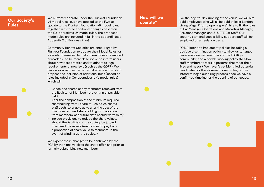## Our Society's Rules

We currently operate under the Plunkett Foundation v4 model rules, but have applied to the FCA to update to the Plunkett Foundation v6 model rules, together with three additional changes based on the Co-operatives UK model rules. The proposed model rules are included in full in the appendix (see Appendix 2 of Business Plan).

Community Benefit Societies are encouraged by Plunkett Foundation to update their Model Rules for a variety of reasons: to make them more streamlined or readable, to be more descriptive, to inform users about new best practise and to adhere to legal requirements of new laws (such as the GDPR). We have also sought expert external advice and wish to propose the inclusion of additional rules (based on rules included in Co-operatives UK's model rules) which will

## How will we operate?

- Cancel the shares of any members removed from the Register of Members (preventing unpayable debt)
- Alter the composition of the minimum required shareholding from 1 share at £25, to 25 shares at £1 each (to enable us to alter the cost of the minimum required shareholding, with approval from members, at a future date should we wish to)
- Include provisions to reduce the share values, should the liabilities of the society be judged to exceed the assets (enabling us to pay back a proportion of share value to members, in the event of winding up the society)

We expect these changes to be confirmed by the FCA by the time we close the share offer, and prior to formally subscribing new members.

For the day-to-day running of the venue, we will hire paid employees who will all be paid at least London Living Wage. Prior to opening, we'll hire to fill the roles of Bar Manager, Operations and Marketing Manager, Assistant Manager, and 3-5 FTE Bar Staff. Our security staff and accessibility support staff will be employed on a freelance basis.

FOTJA intend to implement policies including a positive discrimination policy (to allow us to target hiring marginalised members of the LGBTQI+ community) and a flexible working policy (to allow staff members to work in patterns that meet their lives and needs). We haven't yet identified potential candidates for the aforementioned roles, but we intend to begin our hiring process once we have a confirmed timeline for the opening of our space.



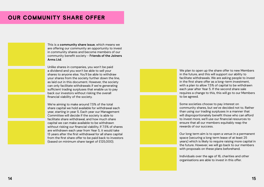# OUR COMMUNITY SHARE OFFER

This is a **community share issue**, which means we are offering our community an opportunity to invest in community shares and become members of our community benefit society - **Friends of the Joiners Arms Ltd**.

Unlike shares in companies, you won't be paid a dividend and you won't be able to sell your shares to anyone else. You'll be able to withdraw your shares from the society further down the line, as laid out in this document. However, the society can only facilitate withdrawals if we're generating sufficient trading surpluses that enable us to pay back our investors without risking the overall financial viability of the society.

We're aiming to make around 7.5% of the total share capital we hold available for withdrawal each year, starting in year 5. Each year our Management Committee will decide if the society is able to facilitate share withdrawal, and how much share capital we can make available to be withdrawn without risking our financial viability. If 7.5% of shares are withdrawn each year from Year 5, it would take 13 years after the first withdrawal for all share capital from the first share offer to be paid back to investors (based on minimum share target of £125,000).



We plan to open up the share offer to new Members in the future, and this will support our ability to facilitate withdrawals. We are asking people to invest in the first share offer as a long-term investment, with a plan to allow 7.5% of capital to be withdrawn each year after Year 5. If the second share sale requires a change to this, this will go to our Members to be agreed.

Some societies choose to pay interest on community shares, but we've decided not to. Rather than using our trading surpluses in a manner that will disproportionately benefit those who can afford to invest more, we'll use our financial resources to ensure that all our members equitably reap the rewards of our success.

Our long term aim is to open a venue in a permanent space (securing a long term lease of at least 25 years) which is likely to require raising more capital in the future. However, we will go back to our members with proposals on these plans beforehand.

Individuals over the age of 16, charities and other organisations are able to invest in this offer.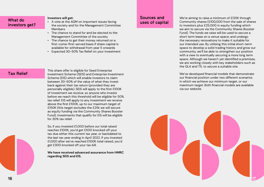| What do        |  |
|----------------|--|
| investors get? |  |
|                |  |

#### **Investors will get:**

- A vote at the AGM on important issues facing the society and for the Management Committee Members
- The chance to stand for and be elected to the Management Committee of the society
- The chance to get their money returned on a first-come-first-served basis if share capital is available for withdrawal from year 5 onwards
- Expected 30-50% Tax Relief on your investment

This share offer is eligible for Seed Enterprise<br>
Tax Relief Investment Scheme (SEIS) and Enterprise Investment Scheme (EIS) which will enable investors to claim between 30-50% of the value of what they invest back against their tax return (provided they are personally eligible). SEIS will apply to the first £100K of investment we receive, so anyone who invests before we reach this threshold will be eligible for 50% tax relief. EIS will apply to any investment we receive above the first £100K, up to our maximum target of £150K (this target excludes the £25k we will secure as equity funding via the Community Shares Booster Fund). Investments that qualify for EIS will be eligible for 30% tax relief.

> So, if you invested £1,000 before our total raised reaches £100K, you'd get £500 knocked off your tax due either this current tax year, or backdated to the last tax year ending in April 2022. If you invested £1,000 after we've reached £100K total raised, you'd get £300 knocked off your tax bill.

**We have received advanced assurance from HMRC regarding SEIS and EIS.**

We're aiming to raise a minimum of £125K through Community shares (£100,000 from the sale of shares to investors plus £25,000 in equity funding which we aim to secure via the Community Shares Booster Fund). The funds we raise will be used to secure a short term lease on a venue space, and undergo the necessary renovations to make it suitable for our intended use. By utilising this initial short-term space to develop a solid trading history and grow our community, we'll be able to strengthen our position with a view to eventually securing a more long term space. Although we haven't yet identified a premises, we are working closely with key stakeholders such as the GLA and TfL to secure a suitable site.

We've developed financial models that demonstrate our financial position under two different scenarios in which we achieve our minimum target, or our maximum target. Both financial models are available via our website.

## Sources and uses of capital

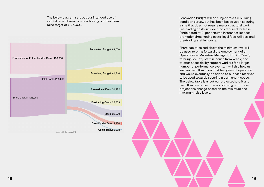The below diagram sets out our intended use of capital raised based on us achieving our minimum raise target of £125,000.



Made with SankeyMATIC

Renovation budget will be subject to a full building condition survey, but has been based upon securing a site that does not require major structural work. Pre-trading costs include funds required for lease (anticipated at £1 per annum); insurance; licences; promotional/marketing costs; legal fees; utilities; and pre-trading staffing costs.

Share capital raised above the minimum level will be used to bring forward the employment of an Operations & Marketing Manager (1 FTE) to Year 1; to bring Security staff in-house from Year 2; and to offer accessibility support workers for a larger number of performance events. It will also help us sustain cash flow in our first few years of operation, and would eventually be added to our cash reserves to be used towards securing a permanent space. The below table lays out our projected profit and cash flow levels over 3 years, showing how these projections change based on the minimum and maximum raise levels.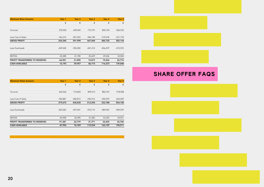| <b>Minimum Raise Scenario</b>  | Year 1     | Year <sub>2</sub> | Year 3     | Year 4     | Year 5     |
|--------------------------------|------------|-------------------|------------|------------|------------|
|                                | £          | £                 | £          | £          | £          |
|                                |            |                   |            |            |            |
| Turnover                       | 370,550    | 649,443           | 773,791    | 804,743    | 836,933    |
|                                |            |                   |            |            |            |
| Less Cost of Sales             | $-146,310$ | $-257,453$        | $-306,748$ | $-319,018$ | $-331,778$ |
| <b>GROSS PROFIT</b>            | 224,240    | 391,990           | 467,044    | 485,725    | 505,154    |
| Less Overheads                 | $-249,528$ | $-350,283$        | $-441,414$ | $-456,479$ | $-472,570$ |
|                                |            |                   |            |            |            |
| <b>EBITDA</b>                  | $-25,288$  | 41,708            | 25,629     | 29,246     | 32,584     |
| PROFIT TRANSFERRED TO RESERVES | $-66,901$  | 31,898            | 15,819     | 19,436     | 22,774     |
| <b>CASH AVAILABLE</b>          | 16,193     | 59,957            | 86,715     | 116,272    | 139,840    |
|                                |            |                   |            |            |            |



| <b>Maximum Raise Scenario</b>         | Year 1     | Year <sub>2</sub> | Year <sub>3</sub>        | Year 4     | Year 5     |
|---------------------------------------|------------|-------------------|--------------------------|------------|------------|
|                                       | £          | £                 | £                        | £          | £          |
|                                       |            |                   |                          |            |            |
| Turnover                              | 462,562    | 712,843           | 849,213                  | 883,181    | 918,508    |
|                                       |            |                   |                          |            |            |
| Less Cost of Sales                    | $-182,887$ | $-282,813$        | $-336,916$               | -350,393   | $-364,409$ |
| <b>GROSS PROFIT</b>                   | 279,675    | 430,030           | 512,296                  | 523,788    | 554,100    |
|                                       |            |                   |                          |            |            |
| Less Overheads                        | $-325,583$ | $-397,441$        | $-470,715$               | $-489,543$ | $-509,549$ |
|                                       |            |                   | $\overline{\phantom{a}}$ | -          |            |
| <b>EBITDA</b>                         | $-45,908$  | 32,590            | 41,582                   | 43,245     | 44,551     |
| <b>PROFIT TRANSFERRED TO RESERVES</b> | $-91,381$  | 22,779            | 31,771                   | 33,435     | 34,740     |
| <b>CASH AVAILABLE</b>                 | 47,996     | 76,749            | 119,534                  | 163,107    | 194,911    |
|                                       |            |                   |                          |            |            |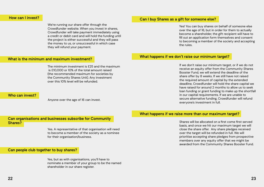We're running our share offer through the Crowdfunder website. When you invest in shares, Crowdfunder will take payment immediately using a credit or debit card and will hold the funding until the project is either successful and they will pass the money to us, or unsuccessful in which case they will refund your payment.

The minimum investment is £25 and the maximum is £10,000 or 10% of the total amount raised (the recommended maximum for societies by the Community Shares Unit). Any investment over this 10% level will be refunded.

#### How can I invest?

#### What is the minimum and maximum investment?

Can organisations and businesses subscribe for Community Shares?

#### Who can invest?

Anyone over the age of 16 can invest.

Yes. A representative of that organisation will need to become a member of the society as a nominee for their organisation/business.

Yes, but as with organisations, you'll have to nominate a member of your group to be the named shareholder in our share register.

#### Can people club together to buy shares?

Yes! You can buy shares on behalf of someone else over the age of 16, but in order for them to actually become a shareholder, the gift recipient will have to fill out an application form themselves and consent to becoming a member of the society and accepting

the rules.

## Can I buy Shares as a gift for someone else?

If we don't raise our minimum target, or if we do not receive an equity offer from the Community Shares Booster Fund, we will extend the deadline of the share offer by 8 weeks. If we still have not raised the required amount of capital by the extended deadline, Crowdfunder will hold the share capital we have raised for around 2 months to allow us to seek loan funding or grant funding to make up the shortfall in our capital requirements. If we are unable to secure alternative funding, Crowdfunder will refund everyone's investment in full.

#### What happens if we don't raise our minimum target?

Shares will be allocated on a first come first served basis, and once we hit our maximum target we will close the share offer. Any share pledges received over the target will be refunded in full. We will prioritise accepting share pledges from prospective members over any equity offer that we might be awarded from the Community Shares Booster Fund.

## What happens if we raise more than our maximum target?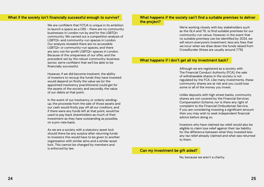We are confident that FOTJA is unique in its ambition to launch a space as a CBS - there are no community businesses in London run by and for the LGBTQI+ community. We carried out a competition analysis of LGBTQI+ and community-run spaces in London. Our analysis revealed there are no accessible LGBTQI+ or community-run spaces, and there are zero not-for-profit LGBTQI+ spaces in London. Because of the uniqueness of our offer, and the precedent set by the robust community-business sector, we're confident that we'll be able to be financially successful.

However, if we did become insolvent, the ability of investors to recoup the funds they have invested would depend on firstly the value we (or the appointed insolvency practitioners) could get for the assets of the society and secondly, the value of our debts at that point.

In the event of our insolvency or orderly windingup, the proceeds from the sale of those assets and our cash would firstly pay off all our creditors, and if there were any funds left at that point, would be used to pay back shareholders as much of their investment as they have outstanding as possible, on a pro-rata basis.

As we are a society with a statutory asset lock should there be any surplus after returning funds to investors this would have to be given to another organisation with similar aims and a similar asset lock. This cannot be changed by members and is enforced by law.

#### What if the society isn't financially successful enough to survive?

We're working closely with key stakeholders such as the GLA and TfL to find suitable premises for our community-run venue. However, in the event that no suitable premises can be identified by 2024, we will return everyone's investment, less any fees that we incur when we draw down the funds raised from Crowdfunder (these are usually around 7.7%)

#### What happens if the society can't find a suitable premises to deliver the project?

#### What happens if I don't get all my investment back?

Although we are registered as a society with The Financial Conduct Authority (FCA), the sale of withdrawable shares in the society is not regulated by the FCA. Like many investments, these community shares are at risk and you could lose some or all of the money you invest.

Unlike deposits with high street banks, community shares are not covered by the Financial Services Compensation Scheme, nor is there any right of complaint to the Financial Ombudsman Service. If you are considering investing a significant amount then you may wish to seek independent financial advice before doing so.

Investors who have claimed tax relief would also be eligible to claim loss relief against their tax liability for the difference between what they invested less any tax relief already claimed and what was returned to them.

No, because we aren't a charity.

#### Can my investment be gift aided?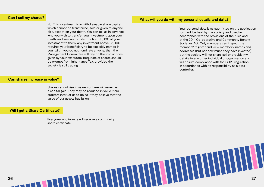No. This investment is in withdrawable share capital which cannot be transferred, sold or given to anyone else, except on your death. You can tell us in advance who you wish to transfer your investment upon your death, and we can transfer the first £5,000 of your investment to them; any investment above £5,000 requires your beneficiary to be explicitly named in your will. If you do not nominate anyone, then the Management Committee will rely on the instructions given by your executors. Bequests of shares should be exempt from Inheritance Tax, provided the society is still trading.

#### Can I sell my shares?

#### Can shares increase in value?

#### What will you do with my personal details and data?

Shares cannot rise in value, so there will never be a capital gain. They may be reduced in value if our auditors instruct us to do so if they believe that the value of our assets has fallen.

#### Will I get a Share Certificate?

Everyone who invests will receive a community share certificate.

Your personal details as submitted on the application form will be held by the society and used in accordance with the provisions of the rules and of the 2014 Co-operative and Community Benefit Societies Act. Only members can inspect the members' register and view members' names and addresses (but not how much they have invested) but the society will not share, sell or provide my details to any other individual or organisation and will ensure compliance with the GDPR regulation in accordance with its responsibility as a data controller.